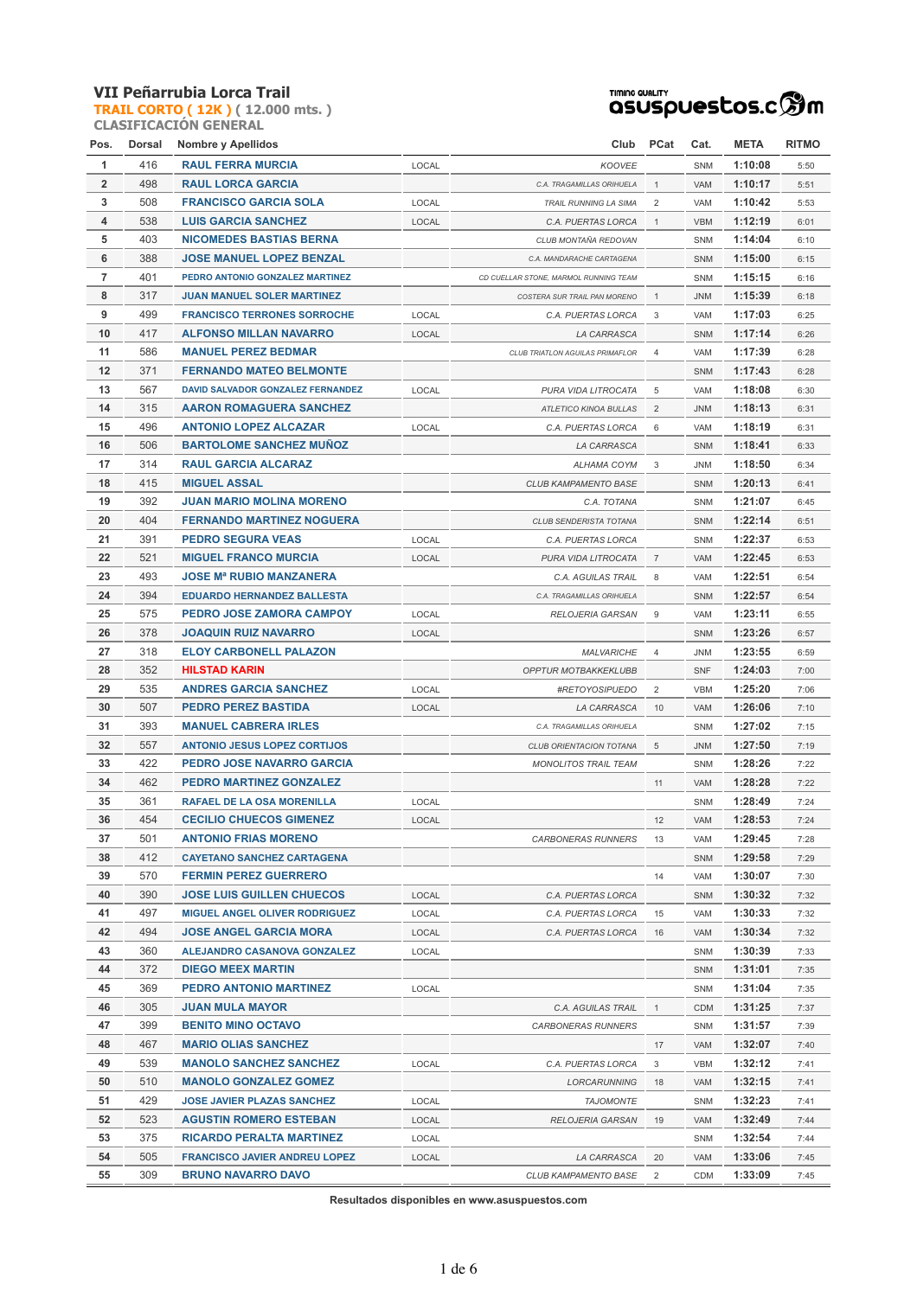**TRAIL CORTO ( 12K ) ( 12.000 mts. )**



|      | <b>CLASIFICACION GENERAL</b> |
|------|------------------------------|
| Pos. | Dorsal Nombre y Apellidos    |

| Pos.           | Dorsal | <b>Nombre y Apellidos</b>            |       | Club                                  | <b>PCat</b>    | Cat.       | <b>META</b> | <b>RITMO</b> |
|----------------|--------|--------------------------------------|-------|---------------------------------------|----------------|------------|-------------|--------------|
| 1              | 416    | <b>RAUL FERRA MURCIA</b>             | LOCAL | <b>KOOVEE</b>                         |                | <b>SNM</b> | 1:10:08     | 5:50         |
| $\overline{2}$ | 498    | <b>RAUL LORCA GARCIA</b>             |       | C.A. TRAGAMILLAS ORIHUELA             | $\mathbf{1}$   | <b>VAM</b> | 1:10:17     | 5:51         |
| 3              | 508    | <b>FRANCISCO GARCIA SOLA</b>         | LOCAL | TRAIL RUNNING LA SIMA                 | $\overline{2}$ | VAM        | 1:10:42     | 5:53         |
| 4              | 538    | <b>LUIS GARCIA SANCHEZ</b>           | LOCAL | C.A. PUERTAS LORCA                    | $\mathbf{1}$   | <b>VBM</b> | 1:12:19     | 6:01         |
| 5              | 403    | <b>NICOMEDES BASTIAS BERNA</b>       |       | CLUB MONTAÑA REDOVAN                  |                | <b>SNM</b> | 1:14:04     | 6:10         |
| 6              | 388    | <b>JOSE MANUEL LOPEZ BENZAL</b>      |       | C.A. MANDARACHE CARTAGENA             |                | SNM        | 1:15:00     | 6:15         |
| 7              | 401    | PEDRO ANTONIO GONZALEZ MARTINEZ      |       | CD CUELLAR STONE, MARMOL RUNNING TEAM |                | SNM        | 1:15:15     | 6:16         |
| 8              | 317    | <b>JUAN MANUEL SOLER MARTINEZ</b>    |       | COSTERA SUR TRAIL PAN MORENO          | $\mathbf{1}$   | <b>JNM</b> | 1:15:39     | 6:18         |
| 9              | 499    | <b>FRANCISCO TERRONES SORROCHE</b>   | LOCAL | C.A. PUERTAS LORCA                    | 3              | <b>VAM</b> | 1:17:03     | 6:25         |
| 10             | 417    | <b>ALFONSO MILLAN NAVARRO</b>        | LOCAL | LA CARRASCA                           |                | SNM        | 1:17:14     | 6:26         |
| 11             | 586    | <b>MANUEL PEREZ BEDMAR</b>           |       | CLUB TRIATLON AGUILAS PRIMAFLOR       | $\overline{4}$ | VAM        | 1:17:39     | 6:28         |
| 12             | 371    | <b>FERNANDO MATEO BELMONTE</b>       |       |                                       |                | SNM        | 1:17:43     | 6:28         |
| 13             | 567    | DAVID SALVADOR GONZALEZ FERNANDEZ    | LOCAL | PURA VIDA LITROCATA                   | 5              | VAM        | 1:18:08     | 6:30         |
| 14             | 315    | <b>AARON ROMAGUERA SANCHEZ</b>       |       | ATLETICO KINOA BULLAS                 | 2              | <b>JNM</b> | 1:18:13     | 6:31         |
| 15             | 496    | <b>ANTONIO LOPEZ ALCAZAR</b>         | LOCAL | C.A. PUERTAS LORCA                    | 6              | VAM        | 1:18:19     | 6:31         |
| 16             | 506    | <b>BARTOLOME SANCHEZ MUNOZ</b>       |       | LA CARRASCA                           |                | <b>SNM</b> | 1:18:41     | 6:33         |
| 17             | 314    | <b>RAUL GARCIA ALCARAZ</b>           |       | ALHAMA COYM                           | 3              | JNM        | 1:18:50     | 6:34         |
| 18             | 415    | <b>MIGUEL ASSAL</b>                  |       | <b>CLUB KAMPAMENTO BASE</b>           |                | <b>SNM</b> | 1:20:13     | 6:41         |
| 19             | 392    | <b>JUAN MARIO MOLINA MORENO</b>      |       | C.A. TOTANA                           |                | SNM        | 1:21:07     | 6:45         |
| 20             | 404    | <b>FERNANDO MARTINEZ NOGUERA</b>     |       | CLUB SENDERISTA TOTANA                |                | SNM        | 1:22:14     | 6:51         |
| 21             | 391    | <b>PEDRO SEGURA VEAS</b>             | LOCAL | C.A. PUERTAS LORCA                    |                | SNM        | 1:22:37     | 6:53         |
| 22             | 521    | <b>MIGUEL FRANCO MURCIA</b>          | LOCAL | PURA VIDA LITROCATA                   | $\overline{7}$ | VAM        | 1:22:45     | 6:53         |
| 23             | 493    | <b>JOSE Mª RUBIO MANZANERA</b>       |       | C.A. AGUILAS TRAIL                    | 8              | VAM        | 1:22:51     | 6:54         |
| 24             | 394    | <b>EDUARDO HERNANDEZ BALLESTA</b>    |       | C.A. TRAGAMILLAS ORIHUELA             |                | <b>SNM</b> | 1:22:57     | 6:54         |
| 25             | 575    | PEDRO JOSE ZAMORA CAMPOY             | LOCAL | RELOJERIA GARSAN                      | 9              | VAM        | 1:23:11     | 6:55         |
| 26             | 378    | <b>JOAQUIN RUIZ NAVARRO</b>          | LOCAL |                                       |                | SNM        | 1:23:26     | 6:57         |
| 27             | 318    | <b>ELOY CARBONELL PALAZON</b>        |       | <b>MALVARICHE</b>                     | 4              | <b>JNM</b> | 1:23:55     | 6:59         |
| 28             | 352    | <b>HILSTAD KARIN</b>                 |       | OPPTUR MOTBAKKEKLUBB                  |                | <b>SNF</b> | 1:24:03     | 7:00         |
| 29             | 535    | <b>ANDRES GARCIA SANCHEZ</b>         | LOCAL | #RETOYOSIPUEDO                        | $\overline{2}$ | <b>VBM</b> | 1:25:20     | 7:06         |
| 30             | 507    | <b>PEDRO PEREZ BASTIDA</b>           | LOCAL | LA CARRASCA                           | 10             | <b>VAM</b> | 1:26:06     | 7:10         |
| 31             | 393    | <b>MANUEL CABRERA IRLES</b>          |       | C.A. TRAGAMILLAS ORIHUELA             |                | SNM        | 1:27:02     | 7:15         |
| 32             | 557    | <b>ANTONIO JESUS LOPEZ CORTIJOS</b>  |       | CLUB ORIENTACION TOTANA               | 5              | <b>JNM</b> | 1:27:50     | 7:19         |
| 33             | 422    | PEDRO JOSE NAVARRO GARCIA            |       | <b>MONOLITOS TRAIL TEAM</b>           |                | SNM        | 1:28:26     | 7:22         |
| 34             | 462    | <b>PEDRO MARTINEZ GONZALEZ</b>       |       |                                       | 11             | VAM        | 1:28:28     | 7:22         |
| 35             | 361    | RAFAEL DE LA OSA MORENILLA           | LOCAL |                                       |                | SNM        | 1:28:49     | 7:24         |
| 36             | 454    | <b>CECILIO CHUECOS GIMENEZ</b>       | LOCAL |                                       | 12             | <b>VAM</b> | 1:28:53     | 7:24         |
| 37             | 501    | <b>ANTONIO FRIAS MORENO</b>          |       | <b>CARBONERAS RUNNERS</b>             | 13             | VAM        | 1:29:45     | 7:28         |
| 38             | 412    | <b>CAYETANO SANCHEZ CARTAGENA</b>    |       |                                       |                | SNM        | 1:29:58     | 7:29         |
| 39             | 570    | <b>FERMIN PEREZ GUERRERO</b>         |       |                                       | 14             | VAM        | 1:30:07     | 7:30         |
| 40             | 390    | <b>JOSE LUIS GUILLEN CHUECOS</b>     | LOCAL | C.A. PUERTAS LORCA                    |                | SNM        | 1:30:32     | 7:32         |
| 41             | 497    | <b>MIGUEL ANGEL OLIVER RODRIGUEZ</b> | LOCAL | C.A. PUERTAS LORCA                    | 15             | VAM        | 1:30:33     | 7:32         |
| 42             | 494    | <b>JOSE ANGEL GARCIA MORA</b>        | LOCAL | C.A. PUERTAS LORCA                    | 16             | VAM        | 1:30:34     | 7:32         |
| 43             | 360    | ALEJANDRO CASANOVA GONZALEZ          | LOCAL |                                       |                | SNM        | 1:30:39     | 7:33         |
| 44             | 372    | <b>DIEGO MEEX MARTIN</b>             |       |                                       |                | SNM        | 1:31:01     | 7:35         |
| 45             | 369    | <b>PEDRO ANTONIO MARTINEZ</b>        | LOCAL |                                       |                | SNM        | 1:31:04     | 7:35         |
| 46             | 305    | <b>JUAN MULA MAYOR</b>               |       | C.A. AGUILAS TRAIL                    | $\mathbf{1}$   | <b>CDM</b> | 1:31:25     | 7:37         |
| 47             | 399    | <b>BENITO MINO OCTAVO</b>            |       | <b>CARBONERAS RUNNERS</b>             |                | SNM        | 1:31:57     | 7:39         |
| 48             | 467    | <b>MARIO OLIAS SANCHEZ</b>           |       |                                       | 17             | VAM        | 1:32:07     | 7:40         |
| 49             | 539    | <b>MANOLO SANCHEZ SANCHEZ</b>        | LOCAL | C.A. PUERTAS LORCA                    | 3              | <b>VBM</b> | 1:32:12     | 7:41         |
| 50             | 510    | <b>MANOLO GONZALEZ GOMEZ</b>         |       | LORCARUNNING                          | 18             | VAM        | 1:32:15     | 7:41         |
| 51             | 429    | <b>JOSE JAVIER PLAZAS SANCHEZ</b>    | LOCAL | <b>TAJOMONTE</b>                      |                | SNM        | 1:32:23     | 7:41         |
| 52             | 523    | <b>AGUSTIN ROMERO ESTEBAN</b>        | LOCAL | RELOJERIA GARSAN                      | 19             | VAM        | 1:32:49     | 7:44         |
| 53             | 375    | <b>RICARDO PERALTA MARTINEZ</b>      | LOCAL |                                       |                | SNM        | 1:32:54     | 7:44         |
| 54             | 505    | <b>FRANCISCO JAVIER ANDREU LOPEZ</b> | LOCAL | LA CARRASCA                           | 20             | VAM        | 1:33:06     | 7:45         |
| 55             | 309    | <b>BRUNO NAVARRO DAVO</b>            |       | CLUB KAMPAMENTO BASE                  | 2              | <b>CDM</b> | 1:33:09     | 7:45         |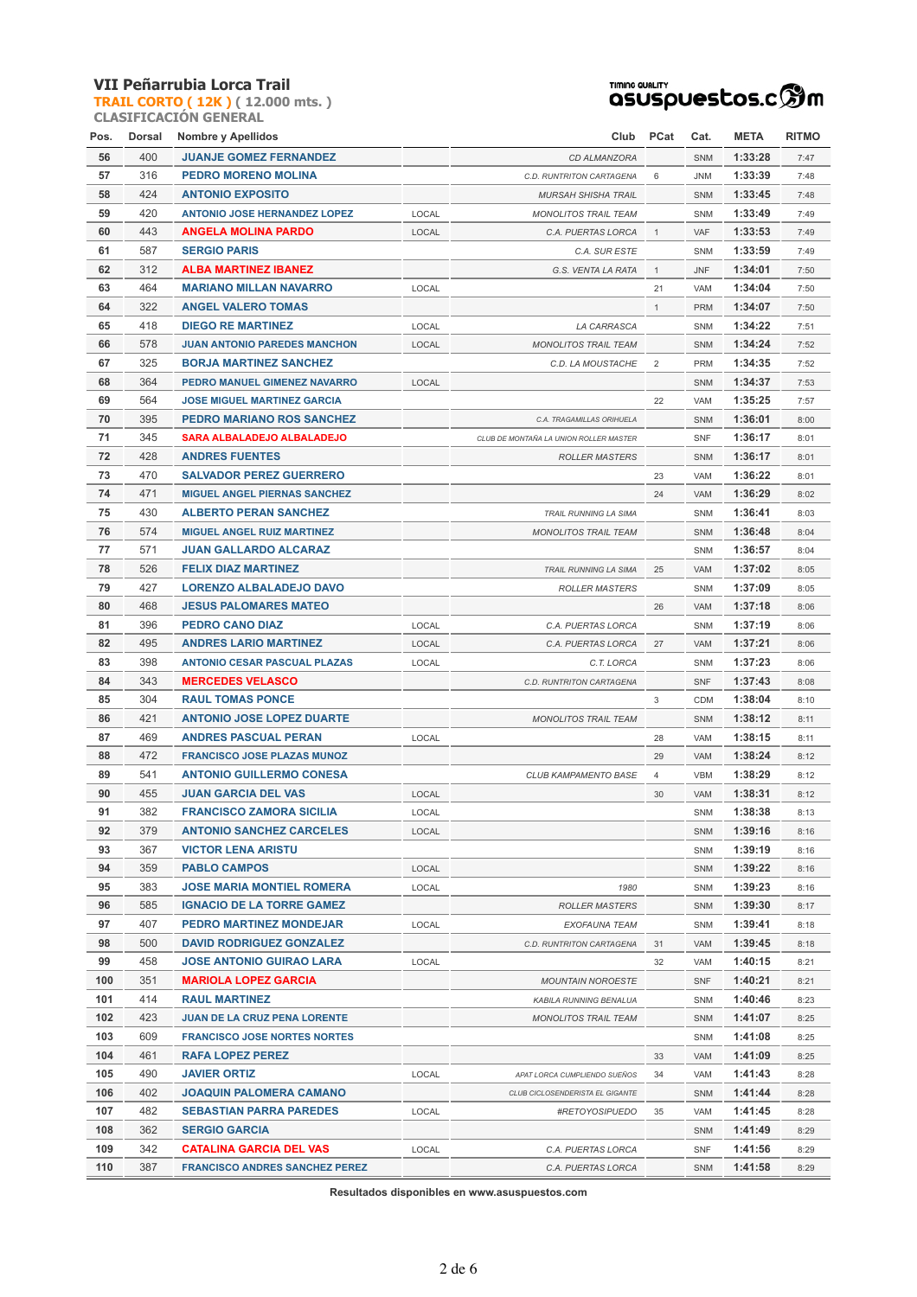**TRAIL CORTO ( 12K ) ( 12.000 mts. ) CLASIFICACIÓN GENERAL**

# TIMING QUALITY<br>QSUSPUESCOS.C **SOM**

| Pos. | Dorsal | <b>Nombre y Apellidos</b>             |       | Club                                   | PCat           | Cat.       | <b>META</b> | <b>RITMO</b> |
|------|--------|---------------------------------------|-------|----------------------------------------|----------------|------------|-------------|--------------|
| 56   | 400    | <b>JUANJE GOMEZ FERNANDEZ</b>         |       | CD ALMANZORA                           |                | SNM        | 1:33:28     | 7:47         |
| 57   | 316    | PEDRO MORENO MOLINA                   |       | C.D. RUNTRITON CARTAGENA               | 6              | <b>JNM</b> | 1:33:39     | 7:48         |
| 58   | 424    | <b>ANTONIO EXPOSITO</b>               |       | <b>MURSAH SHISHA TRAIL</b>             |                | SNM        | 1:33:45     | 7:48         |
| 59   | 420    | <b>ANTONIO JOSE HERNANDEZ LOPEZ</b>   | LOCAL | <b>MONOLITOS TRAIL TEAM</b>            |                | SNM        | 1:33:49     | 7:49         |
| 60   | 443    | <b>ANGELA MOLINA PARDO</b>            | LOCAL | C.A. PUERTAS LORCA                     | $\mathbf{1}$   | VAF        | 1:33:53     | 7:49         |
| 61   | 587    | <b>SERGIO PARIS</b>                   |       | C.A. SUR ESTE                          |                | <b>SNM</b> | 1:33:59     | 7:49         |
| 62   | 312    | <b>ALBA MARTINEZ IBANEZ</b>           |       | G.S. VENTA LA RATA                     | $\mathbf{1}$   | <b>JNF</b> | 1:34:01     | 7:50         |
| 63   | 464    | <b>MARIANO MILLAN NAVARRO</b>         | LOCAL |                                        | 21             | VAM        | 1:34:04     | 7:50         |
| 64   | 322    | <b>ANGEL VALERO TOMAS</b>             |       |                                        | $\mathbf{1}$   | <b>PRM</b> | 1:34:07     | 7:50         |
| 65   | 418    | <b>DIEGO RE MARTINEZ</b>              | LOCAL | LA CARRASCA                            |                | SNM        | 1:34:22     | 7:51         |
| 66   | 578    | <b>JUAN ANTONIO PAREDES MANCHON</b>   | LOCAL |                                        |                | SNM        | 1:34:24     | 7:52         |
| 67   | 325    | <b>BORJA MARTINEZ SANCHEZ</b>         |       | <b>MONOLITOS TRAIL TEAM</b>            | 2              | <b>PRM</b> | 1:34:35     |              |
|      |        |                                       |       | C.D. LA MOUSTACHE                      |                |            |             | 7:52         |
| 68   | 364    | PEDRO MANUEL GIMENEZ NAVARRO          | LOCAL |                                        |                | SNM        | 1:34:37     | 7:53         |
| 69   | 564    | <b>JOSE MIGUEL MARTINEZ GARCIA</b>    |       |                                        | 22             | VAM        | 1:35:25     | 7:57         |
| 70   | 395    | PEDRO MARIANO ROS SANCHEZ             |       | C.A. TRAGAMILLAS ORIHUELA              |                | SNM        | 1:36:01     | 8:00         |
| 71   | 345    | SARA ALBALADEJO ALBALADEJO            |       | CLUB DE MONTAÑA LA UNION ROLLER MASTER |                | <b>SNF</b> | 1:36:17     | 8:01         |
| 72   | 428    | <b>ANDRES FUENTES</b>                 |       | <b>ROLLER MASTERS</b>                  |                | SNM        | 1:36:17     | 8:01         |
| 73   | 470    | <b>SALVADOR PEREZ GUERRERO</b>        |       |                                        | 23             | VAM        | 1:36:22     | 8:01         |
| 74   | 471    | <b>MIGUEL ANGEL PIERNAS SANCHEZ</b>   |       |                                        | 24             | VAM        | 1:36:29     | 8:02         |
| 75   | 430    | <b>ALBERTO PERAN SANCHEZ</b>          |       | <b>TRAIL RUNNING LA SIMA</b>           |                | <b>SNM</b> | 1:36:41     | 8:03         |
| 76   | 574    | <b>MIGUEL ANGEL RUIZ MARTINEZ</b>     |       | <b>MONOLITOS TRAIL TEAM</b>            |                | <b>SNM</b> | 1:36:48     | 8:04         |
| 77   | 571    | <b>JUAN GALLARDO ALCARAZ</b>          |       |                                        |                | <b>SNM</b> | 1:36:57     | 8:04         |
| 78   | 526    | <b>FELIX DIAZ MARTINEZ</b>            |       | TRAIL RUNNING LA SIMA                  | 25             | VAM        | 1:37:02     | 8:05         |
| 79   | 427    | <b>LORENZO ALBALADEJO DAVO</b>        |       | <b>ROLLER MASTERS</b>                  |                | SNM        | 1:37:09     | 8:05         |
| 80   | 468    | <b>JESUS PALOMARES MATEO</b>          |       |                                        | 26             | VAM        | 1:37:18     | 8:06         |
| 81   | 396    | PEDRO CANO DIAZ                       | LOCAL | C.A. PUERTAS LORCA                     |                | SNM        | 1:37:19     | 8:06         |
| 82   | 495    | <b>ANDRES LARIO MARTINEZ</b>          | LOCAL | C.A. PUERTAS LORCA                     | 27             | VAM        | 1:37:21     | 8:06         |
| 83   | 398    | <b>ANTONIO CESAR PASCUAL PLAZAS</b>   | LOCAL | C.T. LORCA                             |                | <b>SNM</b> | 1:37:23     | 8:06         |
| 84   | 343    | <b>MERCEDES VELASCO</b>               |       | C.D. RUNTRITON CARTAGENA               |                | <b>SNF</b> | 1:37:43     | 8:08         |
| 85   | 304    | <b>RAUL TOMAS PONCE</b>               |       |                                        | 3              | <b>CDM</b> | 1:38:04     | 8:10         |
| 86   | 421    | <b>ANTONIO JOSE LOPEZ DUARTE</b>      |       | <b>MONOLITOS TRAIL TEAM</b>            |                | SNM        | 1:38:12     | 8:11         |
| 87   | 469    | <b>ANDRES PASCUAL PERAN</b>           | LOCAL |                                        | 28             | VAM        | 1:38:15     | 8:11         |
| 88   | 472    | <b>FRANCISCO JOSE PLAZAS MUNOZ</b>    |       |                                        | 29             | VAM        | 1:38:24     | 8:12         |
| 89   | 541    | <b>ANTONIO GUILLERMO CONESA</b>       |       | CLUB KAMPAMENTO BASE                   | $\overline{4}$ | <b>VBM</b> | 1:38:29     | 8:12         |
| 90   | 455    | <b>JUAN GARCIA DEL VAS</b>            | LOCAL |                                        | 30             | VAM        | 1:38:31     | 8:12         |
| 91   | 382    | <b>FRANCISCO ZAMORA SICILIA</b>       | LOCAL |                                        |                | SNM        | 1:38:38     | 8:13         |
| 92   | 379    | <b>ANTONIO SANCHEZ CARCELES</b>       | LOCAL |                                        |                | <b>SNM</b> | 1:39:16     | 8:16         |
| 93   | 367    | <b>VICTOR LENA ARISTU</b>             |       |                                        |                | SNM        | 1:39:19     | 8:16         |
| 94   | 359    | <b>PABLO CAMPOS</b>                   | LOCAL |                                        |                | SNM        | 1:39:22     | 8:16         |
| 95   | 383    | <b>JOSE MARIA MONTIEL ROMERA</b>      | LOCAL | 1980                                   |                | SNM        | 1:39:23     | 8:16         |
| 96   | 585    | <b>IGNACIO DE LA TORRE GAMEZ</b>      |       | <b>ROLLER MASTERS</b>                  |                | SNM        | 1:39:30     | 8:17         |
| 97   | 407    | <b>PEDRO MARTINEZ MONDEJAR</b>        | LOCAL | EXOFAUNA TEAM                          |                | SNM        | 1:39:41     | 8:18         |
| 98   | 500    | <b>DAVID RODRIGUEZ GONZALEZ</b>       |       | C.D. RUNTRITON CARTAGENA               | 31             | VAM        | 1:39:45     | 8:18         |
| 99   | 458    | <b>JOSE ANTONIO GUIRAO LARA</b>       | LOCAL |                                        | 32             | VAM        | 1:40:15     | 8:21         |
| 100  | 351    | <b>MARIOLA LOPEZ GARCIA</b>           |       | <b>MOUNTAIN NOROESTE</b>               |                | <b>SNF</b> | 1:40:21     | 8:21         |
| 101  | 414    | <b>RAUL MARTINEZ</b>                  |       | KABILA RUNNING BENALUA                 |                | SNM        | 1:40:46     | 8:23         |
| 102  | 423    | <b>JUAN DE LA CRUZ PENA LORENTE</b>   |       | <b>MONOLITOS TRAIL TEAM</b>            |                | <b>SNM</b> | 1:41:07     | 8:25         |
| 103  | 609    | <b>FRANCISCO JOSE NORTES NORTES</b>   |       |                                        |                |            | 1:41:08     |              |
| 104  | 461    |                                       |       |                                        |                | SNM        |             | 8:25         |
|      |        | RAFA LOPEZ PEREZ                      |       |                                        | 33             | VAM        | 1:41:09     | 8:25         |
| 105  | 490    | <b>JAVIER ORTIZ</b>                   | LOCAL | APAT LORCA CUMPLIENDO SUEÑOS           | 34             | VAM        | 1:41:43     | 8:28         |
| 106  | 402    | <b>JOAQUIN PALOMERA CAMANO</b>        |       | CLUB CICLOSENDERISTA EL GIGANTE        |                | <b>SNM</b> | 1:41:44     | 8:28         |
| 107  | 482    | <b>SEBASTIAN PARRA PAREDES</b>        | LOCAL | #RETOYOSIPUEDO                         | 35             | VAM        | 1:41:45     | 8:28         |
| 108  | 362    | <b>SERGIO GARCIA</b>                  |       |                                        |                | SNM        | 1:41:49     | 8:29         |
| 109  | 342    | <b>CATALINA GARCIA DEL VAS</b>        | LOCAL | C.A. PUERTAS LORCA                     |                | SNF        | 1:41:56     | 8:29         |
| 110  | 387    | <b>FRANCISCO ANDRES SANCHEZ PEREZ</b> |       | C.A. PUERTAS LORCA                     |                | <b>SNM</b> | 1:41:58     | 8:29         |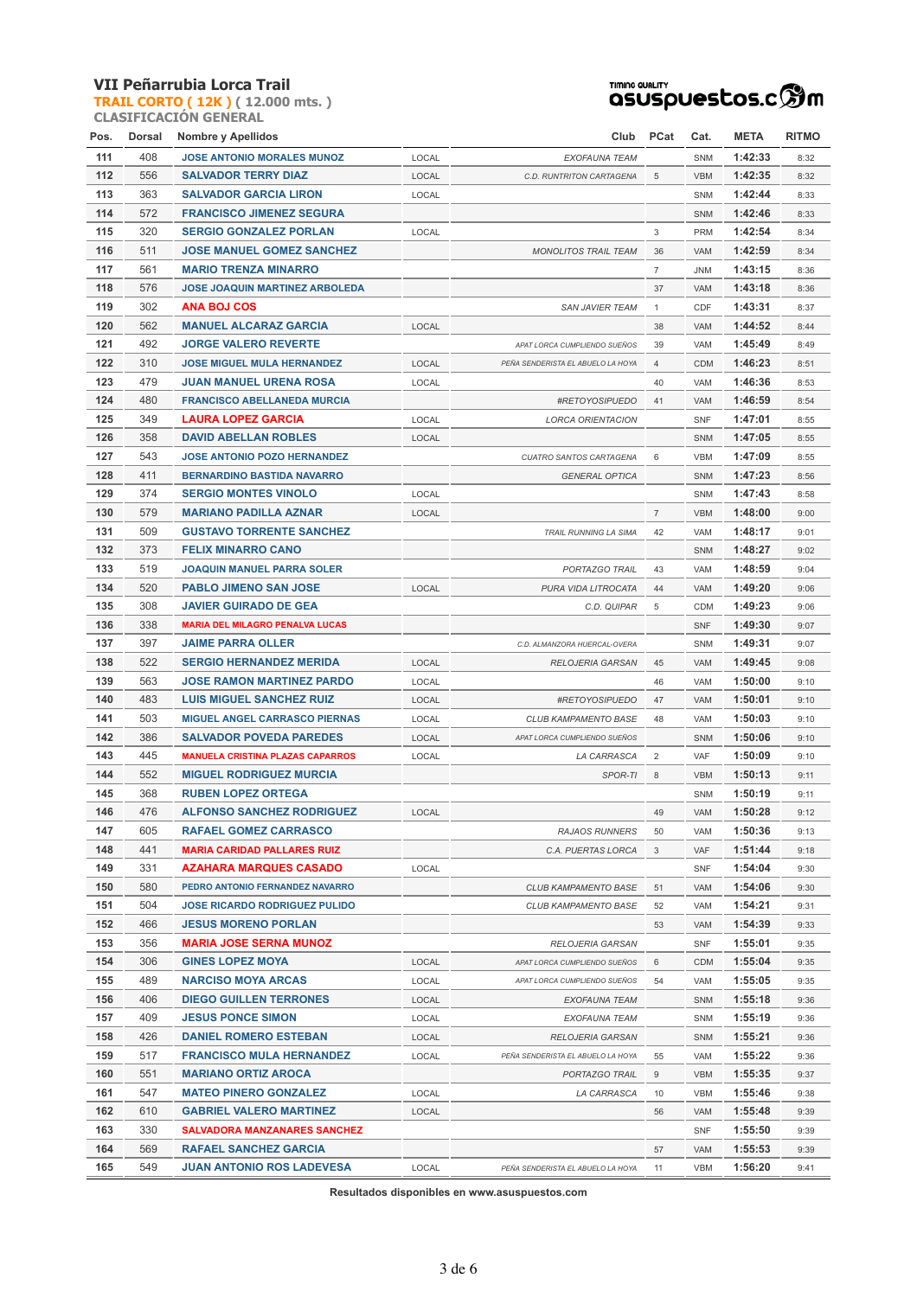**TRAIL CORTO ( 12K ) ( 12.000 mts. ) CLASIFICACIÓN GENERAL**



| Pos.       | Dorsal     | <b>Nombre y Apellidos</b>               |       | Club                              | PCat           | Cat.       | <b>META</b> | RITMO |
|------------|------------|-----------------------------------------|-------|-----------------------------------|----------------|------------|-------------|-------|
| 111        | 408        | <b>JOSE ANTONIO MORALES MUNOZ</b>       | LOCAL | EXOFAUNA TEAM                     |                | <b>SNM</b> | 1:42:33     | 8:32  |
| 112        | 556        | SALVADOR TERRY DIAZ                     | LOCAL | C.D. RUNTRITON CARTAGENA          | 5              | <b>VBM</b> | 1:42:35     | 8:32  |
| 113        | 363        | <b>SALVADOR GARCIA LIRON</b>            | LOCAL |                                   |                | <b>SNM</b> | 1:42:44     | 8:33  |
| 114        | 572        | <b>FRANCISCO JIMENEZ SEGURA</b>         |       |                                   |                | SNM        | 1:42:46     | 8:33  |
| 115        | 320        | <b>SERGIO GONZALEZ PORLAN</b>           | LOCAL |                                   | 3              | <b>PRM</b> | 1:42:54     | 8:34  |
| 116        | 511        | <b>JOSE MANUEL GOMEZ SANCHEZ</b>        |       | <b>MONOLITOS TRAIL TEAM</b>       | 36             | <b>VAM</b> | 1:42:59     | 8:34  |
| 117        | 561        | <b>MARIO TRENZA MINARRO</b>             |       |                                   | $\overline{7}$ | <b>JNM</b> | 1:43:15     | 8:36  |
| 118        | 576        | <b>JOSE JOAQUIN MARTINEZ ARBOLEDA</b>   |       |                                   | 37             | <b>VAM</b> | 1:43:18     | 8:36  |
| 119        | 302        | <b>ANA BOJ COS</b>                      |       | <b>SAN JAVIER TEAM</b>            | $\mathbf{1}$   | CDF        | 1:43:31     | 8:37  |
| 120        | 562        | <b>MANUEL ALCARAZ GARCIA</b>            | LOCAL |                                   | 38             | <b>VAM</b> | 1:44:52     | 8:44  |
| 121        | 492        | <b>JORGE VALERO REVERTE</b>             |       | APAT LORCA CUMPLIENDO SUEÑOS      | 39             | VAM        | 1:45:49     | 8:49  |
| 122        | 310        |                                         |       |                                   |                |            |             |       |
|            |            | <b>JOSE MIGUEL MULA HERNANDEZ</b>       | LOCAL | PEÑA SENDERISTA EL ABUELO LA HOYA | $\overline{4}$ | <b>CDM</b> | 1:46:23     | 8:51  |
| 123        | 479        | <b>JUAN MANUEL URENA ROSA</b>           | LOCAL |                                   | 40             | VAM        | 1:46:36     | 8:53  |
| 124        | 480        | <b>FRANCISCO ABELLANEDA MURCIA</b>      |       | #RETOYOSIPUEDO                    | 41             | VAM        | 1:46:59     | 8:54  |
| 125        | 349        | <b>LAURA LOPEZ GARCIA</b>               | LOCAL | <b>LORCA ORIENTACION</b>          |                | <b>SNF</b> | 1:47:01     | 8:55  |
| 126        | 358        | <b>DAVID ABELLAN ROBLES</b>             | LOCAL |                                   |                | SNM        | 1:47:05     | 8:55  |
| 127        | 543        | <b>JOSE ANTONIO POZO HERNANDEZ</b>      |       | CUATRO SANTOS CARTAGENA           | 6              | <b>VBM</b> | 1:47:09     | 8:55  |
| 128        | 411        | <b>BERNARDINO BASTIDA NAVARRO</b>       |       | <b>GENERAL OPTICA</b>             |                | SNM        | 1:47:23     | 8:56  |
| 129        | 374        | <b>SERGIO MONTES VINOLO</b>             | LOCAL |                                   |                | <b>SNM</b> | 1:47:43     | 8:58  |
| 130        | 579        | <b>MARIANO PADILLA AZNAR</b>            | LOCAL |                                   | $\overline{7}$ | <b>VBM</b> | 1:48:00     | 9:00  |
| 131        | 509        | <b>GUSTAVO TORRENTE SANCHEZ</b>         |       | <b>TRAIL RUNNING LA SIMA</b>      | 42             | VAM        | 1:48:17     | 9:01  |
| 132        | 373        | <b>FELIX MINARRO CANO</b>               |       |                                   |                | SNM        | 1:48:27     | 9:02  |
| 133        | 519        | <b>JOAQUIN MANUEL PARRA SOLER</b>       |       | PORTAZGO TRAIL                    | 43             | VAM        | 1:48:59     | 9:04  |
| 134        | 520        | <b>PABLO JIMENO SAN JOSE</b>            | LOCAL | PURA VIDA LITROCATA               | 44             | VAM        | 1:49:20     | 9:06  |
| 135        | 308        | <b>JAVIER GUIRADO DE GEA</b>            |       | C.D. QUIPAR                       | 5              | <b>CDM</b> | 1:49:23     | 9:06  |
| 136        | 338        | <b>MARIA DEL MILAGRO PENALVA LUCAS</b>  |       |                                   |                | <b>SNF</b> | 1:49:30     | 9:07  |
| 137        | 397        | <b>JAIME PARRA OLLER</b>                |       | C.D. ALMANZORA HUERCAL-OVERA      |                | <b>SNM</b> | 1:49:31     | 9:07  |
| 138        | 522        | <b>SERGIO HERNANDEZ MERIDA</b>          | LOCAL | <b>RELOJERIA GARSAN</b>           | 45             | VAM        | 1:49:45     | 9:08  |
| 139        | 563        | <b>JOSE RAMON MARTINEZ PARDO</b>        | LOCAL |                                   | 46             | VAM        | 1:50:00     | 9:10  |
| 140        | 483        | <b>LUIS MIGUEL SANCHEZ RUIZ</b>         | LOCAL | #RETOYOSIPUEDO                    | 47             | <b>VAM</b> | 1:50:01     | 9:10  |
| 141        | 503        | <b>MIGUEL ANGEL CARRASCO PIERNAS</b>    | LOCAL | CLUB KAMPAMENTO BASE              | 48             | <b>VAM</b> | 1:50:03     | 9:10  |
| 142        | 386        | <b>SALVADOR POVEDA PAREDES</b>          | LOCAL | APAT LORCA CUMPLIENDO SUEÑOS      |                | SNM        | 1:50:06     | 9:10  |
| 143        | 445        | <b>MANUELA CRISTINA PLAZAS CAPARROS</b> | LOCAL | LA CARRASCA                       | $\overline{2}$ | VAF        | 1:50:09     | 9:10  |
| 144        | 552        | <b>MIGUEL RODRIGUEZ MURCIA</b>          |       | SPOR-TI                           | 8              | <b>VBM</b> | 1:50:13     | 9:11  |
| 145        | 368        | <b>RUBEN LOPEZ ORTEGA</b>               |       |                                   |                | <b>SNM</b> | 1:50:19     | 9:11  |
| 146        | 476        | <b>ALFONSO SANCHEZ RODRIGUEZ</b>        | LOCAL |                                   | 49             | VAM        | 1:50:28     | 9:12  |
| 147        | 605        | <b>RAFAEL GOMEZ CARRASCO</b>            |       | <b>RAJAOS RUNNERS</b>             | 50             | VAM        | 1:50:36     | 9:13  |
| 148        | 441        | <b>MARIA CARIDAD PALLARES RUIZ</b>      |       | C.A. PUERTAS LORCA                | 3              | VAF        | 1:51:44     | 9:18  |
| 149        | 331        | <b>AZAHARA MARQUES CASADO</b>           | LOCAL |                                   |                | <b>SNF</b> | 1:54:04     | 9:30  |
| 150        | 580        | PEDRO ANTONIO FERNANDEZ NAVARRO         |       | CLUB KAMPAMENTO BASE              | 51             | VAM        | 1:54:06     | 9:30  |
| 151        | 504        | <b>JOSE RICARDO RODRIGUEZ PULIDO</b>    |       | <b>CLUB KAMPAMENTO BASE</b>       | 52             | VAM        | 1:54:21     | 9:31  |
| 152        | 466        | <b>JESUS MORENO PORLAN</b>              |       |                                   | 53             | VAM        | 1:54:39     | 9:33  |
| 153        | 356        | <b>MARIA JOSE SERNA MUNOZ</b>           |       | RELOJERIA GARSAN                  |                | <b>SNF</b> | 1:55:01     | 9:35  |
| 154        | 306        | <b>GINES LOPEZ MOYA</b>                 | LOCAL | APAT LORCA CUMPLIENDO SUEÑOS      | 6              | <b>CDM</b> | 1:55:04     | 9:35  |
|            |            |                                         |       |                                   |                |            |             |       |
| 155<br>156 | 489<br>406 | <b>NARCISO MOYA ARCAS</b>               | LOCAL | APAT LORCA CUMPLIENDO SUEÑOS      | 54             | VAM        | 1:55:05     | 9:35  |
|            |            | <b>DIEGO GUILLEN TERRONES</b>           | LOCAL | EXOFAUNA TEAM                     |                | <b>SNM</b> | 1:55:18     | 9:36  |
| 157        | 409        | <b>JESUS PONCE SIMON</b>                | LOCAL | EXOFAUNA TEAM                     |                | <b>SNM</b> | 1:55:19     | 9:36  |
| 158        | 426        | <b>DANIEL ROMERO ESTEBAN</b>            | LOCAL | <b>RELOJERIA GARSAN</b>           |                | <b>SNM</b> | 1:55:21     | 9:36  |
| 159        | 517        | <b>FRANCISCO MULA HERNANDEZ</b>         | LOCAL | PEÑA SENDERISTA EL ABUELO LA HOYA | 55             | VAM        | 1:55:22     | 9:36  |
| 160        | 551        | <b>MARIANO ORTIZ AROCA</b>              |       | PORTAZGO TRAIL                    | 9              | <b>VBM</b> | 1:55:35     | 9:37  |
| 161        | 547        | <b>MATEO PINERO GONZALEZ</b>            | LOCAL | LA CARRASCA                       | 10             | VBM        | 1:55:46     | 9:38  |
| 162        | 610        | <b>GABRIEL VALERO MARTINEZ</b>          | LOCAL |                                   | 56             | VAM        | 1:55:48     | 9:39  |
| 163        | 330        | <b>SALVADORA MANZANARES SANCHEZ</b>     |       |                                   |                | <b>SNF</b> | 1:55:50     | 9:39  |
| 164        | 569        | <b>RAFAEL SANCHEZ GARCIA</b>            |       |                                   | 57             | VAM        | 1:55:53     | 9:39  |
| 165        | 549        | <b>JUAN ANTONIO ROS LADEVESA</b>        | LOCAL | PEÑA SENDERISTA EL ABUELO LA HOYA | 11             | <b>VBM</b> | 1:56:20     | 9:41  |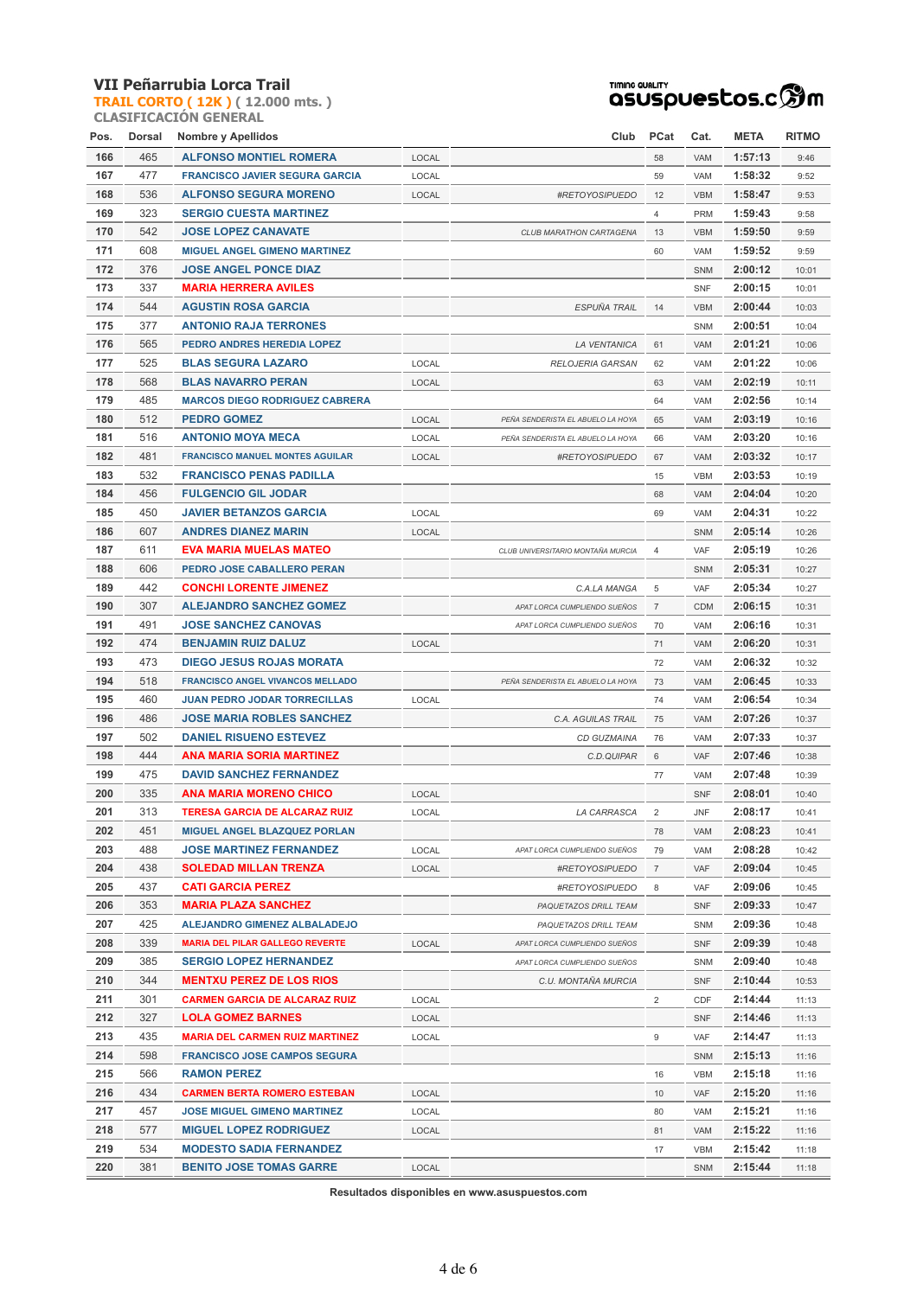**TRAIL CORTO ( 12K ) ( 12.000 mts. ) CLASIFICACIÓN GENERAL**



| Pos. | Dorsal | <b>Nombre y Apellidos</b>                                    |       | Club                              | <b>PCat</b>    | Cat.              | <b>META</b> | RITMO          |
|------|--------|--------------------------------------------------------------|-------|-----------------------------------|----------------|-------------------|-------------|----------------|
| 166  | 465    | <b>ALFONSO MONTIEL ROMERA</b>                                | LOCAL |                                   | 58             | VAM               | 1:57:13     | 9:46           |
| 167  | 477    | <b>FRANCISCO JAVIER SEGURA GARCIA</b>                        | LOCAL |                                   | 59             | VAM               | 1:58:32     | 9:52           |
| 168  | 536    | <b>ALFONSO SEGURA MORENO</b>                                 | LOCAL | #RETOYOSIPUEDO                    | 12             | <b>VBM</b>        | 1:58:47     | 9:53           |
| 169  | 323    | <b>SERGIO CUESTA MARTINEZ</b>                                |       |                                   | $\overline{4}$ | <b>PRM</b>        | 1:59:43     | 9:58           |
| 170  | 542    | <b>JOSE LOPEZ CANAVATE</b>                                   |       | CLUB MARATHON CARTAGENA           | 13             | <b>VBM</b>        | 1:59:50     | 9:59           |
| 171  | 608    | <b>MIGUEL ANGEL GIMENO MARTINEZ</b>                          |       |                                   | 60             | VAM               | 1:59:52     | 9:59           |
| 172  | 376    | <b>JOSE ANGEL PONCE DIAZ</b>                                 |       |                                   |                | SNM               | 2:00:12     | 10:01          |
| 173  | 337    | <b>MARIA HERRERA AVILES</b>                                  |       |                                   |                | <b>SNF</b>        | 2:00:15     | 10:01          |
| 174  | 544    | <b>AGUSTIN ROSA GARCIA</b>                                   |       | ESPUÑA TRAIL                      | 14             | <b>VBM</b>        | 2:00:44     | 10:03          |
| 175  | 377    | <b>ANTONIO RAJA TERRONES</b>                                 |       |                                   |                | <b>SNM</b>        | 2:00:51     | 10:04          |
| 176  | 565    | PEDRO ANDRES HEREDIA LOPEZ                                   |       | <b>LA VENTANICA</b>               | 61             | VAM               | 2:01:21     | 10:06          |
| 177  | 525    | <b>BLAS SEGURA LAZARO</b>                                    | LOCAL | <b>RELOJERIA GARSAN</b>           | 62             | VAM               | 2:01:22     | 10:06          |
| 178  | 568    | <b>BLAS NAVARRO PERAN</b>                                    | LOCAL |                                   | 63             | VAM               | 2:02:19     | 10:11          |
| 179  | 485    | <b>MARCOS DIEGO RODRIGUEZ CABRERA</b>                        |       |                                   | 64             | VAM               | 2:02:56     | 10:14          |
| 180  | 512    | <b>PEDRO GOMEZ</b>                                           | LOCAL | PEÑA SENDERISTA EL ABUELO LA HOYA | 65             | VAM               | 2:03:19     | 10:16          |
| 181  | 516    | <b>ANTONIO MOYA MECA</b>                                     | LOCAL | PEÑA SENDERISTA EL ABUELO LA HOYA | 66             | VAM               | 2:03:20     | 10:16          |
| 182  | 481    | <b>FRANCISCO MANUEL MONTES AGUILAR</b>                       | LOCAL |                                   | 67             | VAM               | 2:03:32     | 10:17          |
| 183  | 532    |                                                              |       | #RETOYOSIPUEDO                    |                |                   | 2:03:53     |                |
| 184  | 456    | <b>FRANCISCO PENAS PADILLA</b><br><b>FULGENCIO GIL JODAR</b> |       |                                   | 15<br>68       | <b>VBM</b><br>VAM | 2:04:04     | 10:19<br>10:20 |
| 185  | 450    | <b>JAVIER BETANZOS GARCIA</b>                                | LOCAL |                                   | 69             | VAM               | 2:04:31     | 10:22          |
| 186  | 607    | <b>ANDRES DIANEZ MARIN</b>                                   |       |                                   |                |                   | 2:05:14     |                |
|      |        |                                                              | LOCAL |                                   |                | SNM               |             | 10:26          |
| 187  | 611    | <b>EVA MARIA MUELAS MATEO</b>                                |       | CLUB UNIVERSITARIO MONTAÑA MURCIA | 4              | VAF               | 2:05:19     | 10:26          |
| 188  | 606    | PEDRO JOSE CABALLERO PERAN                                   |       |                                   |                | SNM               | 2:05:31     | 10:27          |
| 189  | 442    | <b>CONCHI LORENTE JIMENEZ</b>                                |       | C.A.LA MANGA                      | 5              | VAF               | 2:05:34     | 10:27          |
| 190  | 307    | <b>ALEJANDRO SANCHEZ GOMEZ</b>                               |       | APAT LORCA CUMPLIENDO SUEÑOS      | $\overline{7}$ | <b>CDM</b>        | 2:06:15     | 10:31          |
| 191  | 491    | <b>JOSE SANCHEZ CANOVAS</b>                                  |       | APAT LORCA CUMPLIENDO SUEÑOS      | 70             | VAM               | 2:06:16     | 10:31          |
| 192  | 474    | <b>BENJAMIN RUIZ DALUZ</b>                                   | LOCAL |                                   | 71             | VAM               | 2:06:20     | 10:31          |
| 193  | 473    | <b>DIEGO JESUS ROJAS MORATA</b>                              |       |                                   | 72             | VAM               | 2:06:32     | 10:32          |
| 194  | 518    | <b>FRANCISCO ANGEL VIVANCOS MELLADO</b>                      |       | PEÑA SENDERISTA EL ABUELO LA HOYA | 73             | VAM               | 2:06:45     | 10:33          |
| 195  | 460    | <b>JUAN PEDRO JODAR TORRECILLAS</b>                          | LOCAL |                                   | 74             | VAM               | 2:06:54     | 10:34          |
| 196  | 486    | <b>JOSE MARIA ROBLES SANCHEZ</b>                             |       | C.A. AGUILAS TRAIL                | 75             | <b>VAM</b>        | 2:07:26     | 10:37          |
| 197  | 502    | <b>DANIEL RISUENO ESTEVEZ</b>                                |       | CD GUZMAINA                       | 76             | VAM               | 2:07:33     | 10:37          |
| 198  | 444    | <b>ANA MARIA SORIA MARTINEZ</b>                              |       | C.D.QUIPAR                        | 6              | <b>VAF</b>        | 2:07:46     | 10:38          |
| 199  | 475    | <b>DAVID SANCHEZ FERNANDEZ</b>                               |       |                                   | 77             | VAM               | 2:07:48     | 10:39          |
| 200  | 335    | <b>ANA MARIA MORENO CHICO</b>                                | LOCAL |                                   |                | <b>SNF</b>        | 2:08:01     | 10:40          |
| 201  | 313    | <b>TERESA GARCIA DE ALCARAZ RUIZ</b>                         | LOCAL | LA CARRASCA                       | 2              | <b>JNF</b>        | 2:08:17     | 10:41          |
| 202  | 451    | <b>MIGUEL ANGEL BLAZQUEZ PORLAN</b>                          |       |                                   | 78             | VAM               | 2:08:23     | 10:41          |
| 203  | 488    | <b>JOSE MARTINEZ FERNANDEZ</b>                               | LOCAL | APAT LORCA CUMPLIENDO SUEÑOS      | 79             | <b>VAM</b>        | 2:08:28     | 10:42          |
| 204  | 438    | <b>SOLEDAD MILLAN TRENZA</b>                                 | LOCAL | #RETOYOSIPUEDO                    | $\overline{7}$ | VAF               | 2:09:04     | 10:45          |
| 205  | 437    | <b>CATI GARCIA PEREZ</b>                                     |       | #RETOYOSIPUEDO                    | 8              | VAF               | 2:09:06     | 10:45          |
| 206  | 353    | <b>MARIA PLAZA SANCHEZ</b>                                   |       | PAQUETAZOS DRILL TEAM             |                | <b>SNF</b>        | 2:09:33     | 10:47          |
| 207  | 425    | <b>ALEJANDRO GIMENEZ ALBALADEJO</b>                          |       | PAQUETAZOS DRILL TEAM             |                | SNM               | 2:09:36     | 10:48          |
| 208  | 339    | <b>MARIA DEL PILAR GALLEGO REVERTE</b>                       | LOCAL | APAT LORCA CUMPLIENDO SUEÑOS      |                | <b>SNF</b>        | 2:09:39     | 10:48          |
| 209  | 385    | <b>SERGIO LOPEZ HERNANDEZ</b>                                |       | APAT LORCA CUMPLIENDO SUEÑOS      |                | SNM               | 2:09:40     | 10:48          |
| 210  | 344    | <b>MENTXU PEREZ DE LOS RIOS</b>                              |       | C.U. MONTAÑA MURCIA               |                | <b>SNF</b>        | 2:10:44     | 10:53          |
| 211  | 301    | <b>CARMEN GARCIA DE ALCARAZ RUIZ</b>                         | LOCAL |                                   | $\overline{2}$ | CDF               | 2:14:44     | 11:13          |
| 212  | 327    | <b>LOLA GOMEZ BARNES</b>                                     | LOCAL |                                   |                | <b>SNF</b>        | 2:14:46     | 11:13          |
| 213  | 435    | <b>MARIA DEL CARMEN RUIZ MARTINEZ</b>                        | LOCAL |                                   | 9              | VAF               | 2:14:47     | 11:13          |
| 214  | 598    | <b>FRANCISCO JOSE CAMPOS SEGURA</b>                          |       |                                   |                | <b>SNM</b>        | 2:15:13     | 11:16          |
| 215  | 566    | <b>RAMON PEREZ</b>                                           |       |                                   | 16             | VBM               | 2:15:18     | 11:16          |
| 216  | 434    | <b>CARMEN BERTA ROMERO ESTEBAN</b>                           | LOCAL |                                   | 10             | VAF               | 2:15:20     | 11:16          |
| 217  | 457    | <b>JOSE MIGUEL GIMENO MARTINEZ</b>                           | LOCAL |                                   | 80             | VAM               | 2:15:21     | 11:16          |
| 218  | 577    | <b>MIGUEL LOPEZ RODRIGUEZ</b>                                | LOCAL |                                   | 81             | VAM               | 2:15:22     | 11:16          |
| 219  | 534    | <b>MODESTO SADIA FERNANDEZ</b>                               |       |                                   | 17             | <b>VBM</b>        | 2:15:42     | 11:18          |
| 220  | 381    | <b>BENITO JOSE TOMAS GARRE</b>                               | LOCAL |                                   |                | SNM               | 2:15:44     | 11:18          |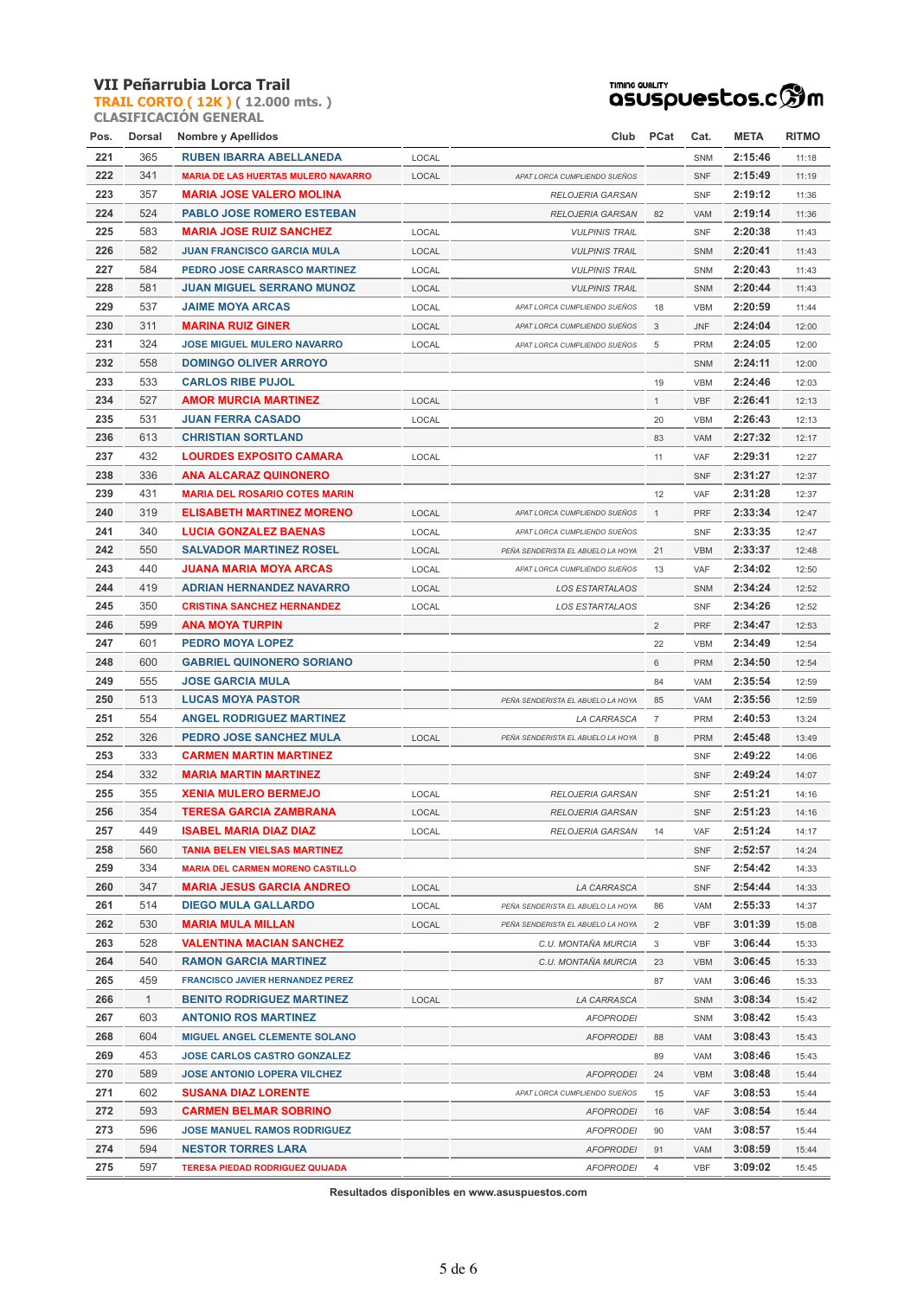**TRAIL CORTO ( 12K ) ( 12.000 mts. ) CLASIFICACIÓN GENERAL**



| Pos. | Dorsal       | Nombre y Apellidos                         |       | Club                              | <b>PCat</b>    | Cat.       | <b>META</b> | RITMO |
|------|--------------|--------------------------------------------|-------|-----------------------------------|----------------|------------|-------------|-------|
| 221  | 365          | <b>RUBEN IBARRA ABELLANEDA</b>             | LOCAL |                                   |                | SNM        | 2:15:46     | 11:18 |
| 222  | 341          | <b>MARIA DE LAS HUERTAS MULERO NAVARRO</b> | LOCAL | APAT LORCA CUMPLIENDO SUEÑOS      |                | <b>SNF</b> | 2:15:49     | 11:19 |
| 223  | 357          | <b>MARIA JOSE VALERO MOLINA</b>            |       | <b>RELOJERIA GARSAN</b>           |                | <b>SNF</b> | 2:19:12     | 11:36 |
| 224  | 524          | <b>PABLO JOSE ROMERO ESTEBAN</b>           |       | <b>RELOJERIA GARSAN</b>           | 82             | <b>VAM</b> | 2:19:14     | 11:36 |
| 225  | 583          | <b>MARIA JOSE RUIZ SANCHEZ</b>             | LOCAL | <b>VULPINIS TRAIL</b>             |                | <b>SNF</b> | 2:20:38     | 11:43 |
| 226  | 582          | <b>JUAN FRANCISCO GARCIA MULA</b>          | LOCAL | <b>VULPINIS TRAIL</b>             |                | SNM        | 2:20:41     | 11:43 |
| 227  | 584          | PEDRO JOSE CARRASCO MARTINEZ               | LOCAL | <b>VULPINIS TRAIL</b>             |                | SNM        | 2:20:43     | 11:43 |
| 228  | 581          | <b>JUAN MIGUEL SERRANO MUNOZ</b>           | LOCAL | <b>VULPINIS TRAIL</b>             |                | <b>SNM</b> | 2:20:44     | 11:43 |
| 229  | 537          | <b>JAIME MOYA ARCAS</b>                    | LOCAL | APAT LORCA CUMPLIENDO SUEÑOS      | 18             | <b>VBM</b> | 2:20:59     | 11:44 |
| 230  | 311          | <b>MARINA RUIZ GINER</b>                   | LOCAL | APAT LORCA CUMPLIENDO SUEÑOS      | 3              | JNF        | 2:24:04     | 12:00 |
| 231  | 324          | <b>JOSE MIGUEL MULERO NAVARRO</b>          | LOCAL | APAT LORCA CUMPLIENDO SUEÑOS      | 5              | <b>PRM</b> | 2:24:05     | 12:00 |
| 232  | 558          | <b>DOMINGO OLIVER ARROYO</b>               |       |                                   |                | <b>SNM</b> | 2:24:11     | 12:00 |
| 233  | 533          | <b>CARLOS RIBE PUJOL</b>                   |       |                                   | 19             | <b>VBM</b> | 2:24:46     | 12:03 |
| 234  | 527          | <b>AMOR MURCIA MARTINEZ</b>                | LOCAL |                                   | $\mathbf{1}$   | <b>VBF</b> | 2:26:41     | 12:13 |
| 235  | 531          | <b>JUAN FERRA CASADO</b>                   | LOCAL |                                   | 20             | <b>VBM</b> | 2:26:43     | 12:13 |
| 236  | 613          | <b>CHRISTIAN SORTLAND</b>                  |       |                                   | 83             | <b>VAM</b> | 2:27:32     | 12:17 |
| 237  | 432          | <b>LOURDES EXPOSITO CAMARA</b>             | LOCAL |                                   | 11             | VAF        | 2:29:31     | 12:27 |
| 238  | 336          | <b>ANA ALCARAZ QUINONERO</b>               |       |                                   |                | <b>SNF</b> | 2:31:27     | 12:37 |
| 239  | 431          | <b>MARIA DEL ROSARIO COTES MARIN</b>       |       |                                   | 12             | VAF        | 2:31:28     | 12:37 |
| 240  | 319          | <b>ELISABETH MARTINEZ MORENO</b>           | LOCAL | APAT LORCA CUMPLIENDO SUEÑOS      | $\mathbf{1}$   | <b>PRF</b> | 2:33:34     | 12:47 |
| 241  | 340          | <b>LUCIA GONZALEZ BAENAS</b>               | LOCAL | APAT LORCA CUMPLIENDO SUEÑOS      |                | <b>SNF</b> | 2:33:35     | 12:47 |
| 242  | 550          | <b>SALVADOR MARTINEZ ROSEL</b>             | LOCAL | PEÑA SENDERISTA EL ABUELO LA HOYA | 21             | <b>VBM</b> | 2:33:37     | 12:48 |
| 243  | 440          | <b>JUANA MARIA MOYA ARCAS</b>              |       |                                   | 13             | <b>VAF</b> | 2:34:02     |       |
| 244  | 419          | <b>ADRIAN HERNANDEZ NAVARRO</b>            | LOCAL | APAT LORCA CUMPLIENDO SUEÑOS      |                |            | 2:34:24     | 12:50 |
|      |              |                                            | LOCAL | <b>LOS ESTARTALAOS</b>            |                | SNM        |             | 12:52 |
| 245  | 350          | <b>CRISTINA SANCHEZ HERNANDEZ</b>          | LOCAL | <b>LOS ESTARTALAOS</b>            |                | <b>SNF</b> | 2:34:26     | 12:52 |
| 246  | 599          | <b>ANA MOYA TURPIN</b>                     |       |                                   | $\overline{2}$ | <b>PRF</b> | 2:34:47     | 12:53 |
| 247  | 601          | <b>PEDRO MOYA LOPEZ</b>                    |       |                                   | 22             | <b>VBM</b> | 2:34:49     | 12:54 |
| 248  | 600          | <b>GABRIEL QUINONERO SORIANO</b>           |       |                                   | 6              | <b>PRM</b> | 2:34:50     | 12:54 |
| 249  | 555          | <b>JOSE GARCIA MULA</b>                    |       |                                   | 84             | <b>VAM</b> | 2:35:54     | 12:59 |
| 250  | 513          | <b>LUCAS MOYA PASTOR</b>                   |       | PEÑA SENDERISTA EL ABUELO LA HOYA | 85             | <b>VAM</b> | 2:35:56     | 12:59 |
| 251  | 554          | <b>ANGEL RODRIGUEZ MARTINEZ</b>            |       | LA CARRASCA                       | $\overline{7}$ | PRM        | 2:40:53     | 13:24 |
| 252  | 326          | <b>PEDRO JOSE SANCHEZ MULA</b>             | LOCAL | PEÑA SENDERISTA EL ABUELO LA HOYA | 8              | <b>PRM</b> | 2:45:48     | 13:49 |
| 253  | 333          | <b>CARMEN MARTIN MARTINEZ</b>              |       |                                   |                | <b>SNF</b> | 2:49:22     | 14:06 |
| 254  | 332          | <b>MARIA MARTIN MARTINEZ</b>               |       |                                   |                | <b>SNF</b> | 2:49:24     | 14:07 |
| 255  | 355          | <b>XENIA MULERO BERMEJO</b>                | LOCAL | RELOJERIA GARSAN                  |                | <b>SNF</b> | 2:51:21     | 14:16 |
| 256  | 354          | <b>TERESA GARCIA ZAMBRANA</b>              | LOCAL | RELOJERIA GARSAN                  |                | <b>SNF</b> | 2:51:23     | 14:16 |
| 257  | 449          | <b>ISABEL MARIA DIAZ DIAZ</b>              | LOCAL | RELOJERIA GARSAN                  | 14             | VAF        | 2:51:24     | 14:17 |
| 258  | 560          | <b>TANIA BELEN VIELSAS MARTINEZ</b>        |       |                                   |                | <b>SNF</b> | 2:52:57     | 14:24 |
| 259  | 334          | <b>MARIA DEL CARMEN MORENO CASTILLO</b>    |       |                                   |                | SNF        | 2:54:42     | 14:33 |
| 260  | 347          | <b>MARIA JESUS GARCIA ANDREO</b>           | LOCAL | LA CARRASCA                       |                | <b>SNF</b> | 2:54:44     | 14:33 |
| 261  | 514          | <b>DIEGO MULA GALLARDO</b>                 | LOCAL | PEÑA SENDERISTA EL ABUELO LA HOYA | 86             | VAM        | 2:55:33     | 14:37 |
| 262  | 530          | <b>MARIA MULA MILLAN</b>                   | LOCAL | PEÑA SENDERISTA EL ABUELO LA HOYA | $\overline{2}$ | <b>VBF</b> | 3:01:39     | 15:08 |
| 263  | 528          | <b>VALENTINA MACIAN SANCHEZ</b>            |       | C.U. MONTAÑA MURCIA               | 3              | <b>VBF</b> | 3:06:44     | 15:33 |
| 264  | 540          | <b>RAMON GARCIA MARTINEZ</b>               |       | C.U. MONTAÑA MURCIA               | 23             | VBM        | 3:06:45     | 15:33 |
| 265  | 459          | <b>FRANCISCO JAVIER HERNANDEZ PEREZ</b>    |       |                                   | 87             | VAM        | 3:06:46     | 15:33 |
| 266  | $\mathbf{1}$ | <b>BENITO RODRIGUEZ MARTINEZ</b>           | LOCAL | LA CARRASCA                       |                | <b>SNM</b> | 3:08:34     | 15:42 |
| 267  | 603          | <b>ANTONIO ROS MARTINEZ</b>                |       | <b>AFOPRODEI</b>                  |                | SNM        | 3:08:42     | 15:43 |
| 268  | 604          | <b>MIGUEL ANGEL CLEMENTE SOLANO</b>        |       | <b>AFOPRODEI</b>                  | 88             | VAM        | 3:08:43     | 15:43 |
| 269  | 453          | <b>JOSE CARLOS CASTRO GONZALEZ</b>         |       |                                   | 89             | VAM        | 3:08:46     | 15:43 |
| 270  | 589          | <b>JOSE ANTONIO LOPERA VILCHEZ</b>         |       | <b>AFOPRODEI</b>                  | 24             | VBM        | 3:08:48     | 15:44 |
| 271  | 602          | <b>SUSANA DIAZ LORENTE</b>                 |       | APAT LORCA CUMPLIENDO SUEÑOS      | 15             | VAF        | 3:08:53     | 15:44 |
| 272  | 593          | <b>CARMEN BELMAR SOBRINO</b>               |       | <b>AFOPRODEI</b>                  | 16             | <b>VAF</b> | 3:08:54     | 15:44 |
| 273  | 596          | <b>JOSE MANUEL RAMOS RODRIGUEZ</b>         |       | <b>AFOPRODEI</b>                  | 90             | VAM        | 3:08:57     | 15:44 |
| 274  | 594          | <b>NESTOR TORRES LARA</b>                  |       | <b>AFOPRODEI</b>                  | 91             | VAM        | 3:08:59     | 15:44 |
| 275  | 597          | <b>TERESA PIEDAD RODRIGUEZ QUIJADA</b>     |       | <b>AFOPRODEI</b>                  | $\overline{4}$ | <b>VBF</b> | 3:09:02     | 15:45 |